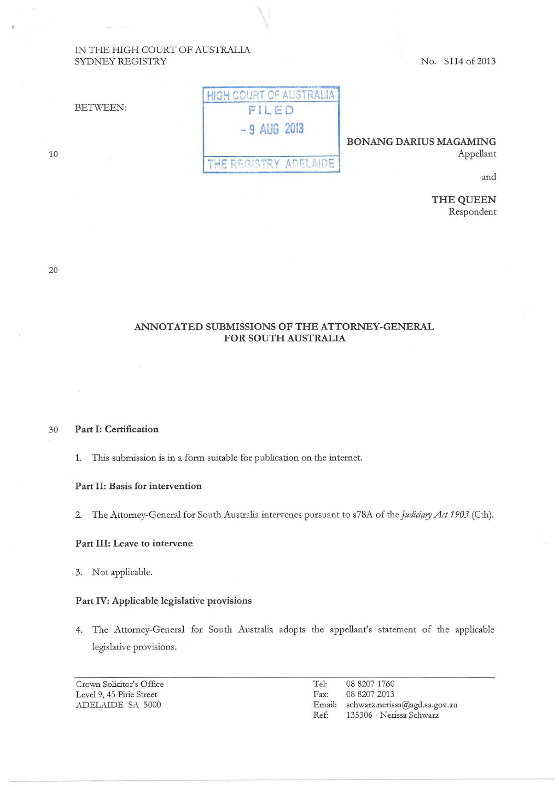## IN THE HIGH COURT OF AUSTRALIA SYDNEY REGISTRY

No. S114 of 2013

| <b>BETWEEN:</b> | <b>HIGH COURT OF AUSTRALIA</b> |
|-----------------|--------------------------------|
|                 | FILED                          |
|                 | $-9$ AUG 2013                  |

 $\lambda$ 

## **BONANG DARIUS MAGAMING**  Appellant

and

**THE QUEEN**  Respondent

20

10

## **ANNOTATED SUBMISSIONS OF THE ATTORNEY-GENERAL FOR SOUTH AUSTRALIA**

 $THE REGISTRY APFLAIDE$ 

30 **Part I: Certification** 

1. This submission *is* in a form suitable for publication on the internet.

## **Part II: Basis for intervention**

2. The Attorney-General for South Australia intervenes pursuant to s78A of the *Judiciary Act 1903* (Cth).

## **Part III: Leave to intervene**

3. Not applicable.

## **Part IV: Applicable legislative provisions**

4. The Attorney-General for South Australia adopts the appellant's statement of the applicable legislative provisions.

Crown Solicitor's Office Level 9, 45 Pirie Street ADELAIDE SA 5000

Tel: 08 8207 1760 Fax: 08 8207 2013 Email: schwarz.nerissa@agd.sa.gov.au Ref: 135306- Nerissa Schwarz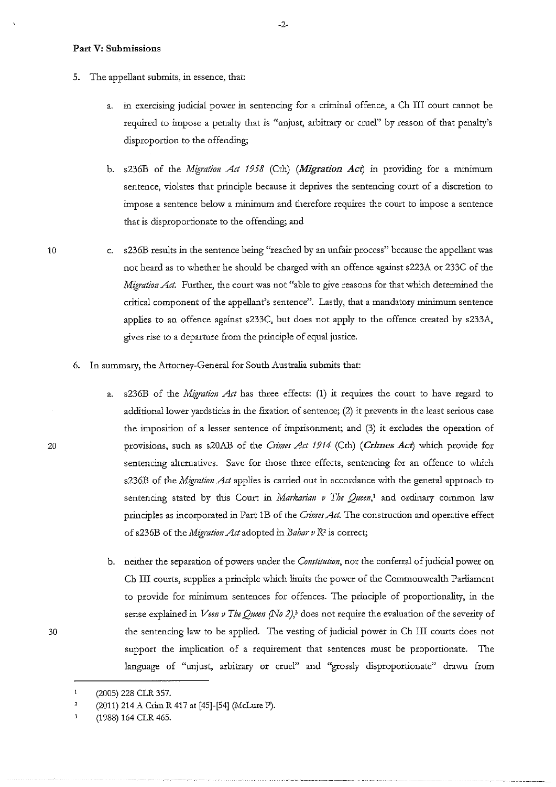## **Part V: Submissions**

10

20

30

- 5. The appellant submits, in essence, that:
	- a. in exercising judicial power in sentencing for a criminal offence, a Ch III court cannot be required to impose a penalty that is "unjust, arbitrary or cruel" by reason of that penalty's disproportion to the offending;
	- b. s236B of the *Migration Act 1958* (Cth) *(Migration Act)* in providing for a minimum **sentence, violates that principle because it deprives the sentencing court of a discretion to impose a sentence below a minimum and therefore requires the court to impose a sentence**  that is disproportionate to the offending; and
	- c. s236B results in the sentence being "reached by an unfair process" because the appellant was not heard as to whether he should be charged with an offence against s223A or 233C of the *Migration Act.* Further, the court was not "able to give reasons for that which determined the **critical component of the appellant's sentence". Lastly, that a mandatory minimum sentence**  applies to an offence against s233C, but does not apply to the offence created by s233A, gives rise to a departure from the principle of equal justice.
- 6. In summary, the Attorney-General for South Australia submits that:
	- a. s236B of the *Migration Act* has three effects: (1) it requires the court to have regard to additional lower yardsticks in the fixation of sentence;  $(2)$  it prevents in the least serious case the imposition of a lesser sentence of imprisonment; and (3) it excludes the operation of provisions, such as s20AB of the *Crimes Act 1914* (Cth) (*Crimes Act*) which provide for sentencing alternatives. Save for those three effects, sentencing for an offence to which s236B of the *Migration Act* applies is carried out in accordance with the general approach to sentencing stated by this Court in *Markarian v The Queen*,<sup>1</sup> and ordinary common law principles as incorporated in Part 1B of the *Crimes Act.* The construction and operative effect of s236B of ilie *Migration Act* adopted in *Babar v* R2 is correct;
	- b. neither the separation of powers under the *Constitution*, nor the conferral of judicial power on Ch III courts, supplies a principle which limits the power of the Commonwealth Parliament to provide for minimum sentences for offences. The principle of proportionality, in the sense explained in *Veen v The Queen (No 2)*,<sup>3</sup> does not require the evaluation of the severity of the sentencing law to be applied. The vesting of judicial power in Ch III courts does not support the implication of a requirement that sentences must be proportionate. The language of "unjust, arbitrary or cruel" and "grossly disproportionate" drawn from

-2-

 $\mathbf{1}$ (2005) 228 CLR 357.

<sup>2</sup>  (2011) 214 A Crim R 417 at [45]-[54] (McLure P).

<sup>3</sup>  (1988) 164 CLR 465.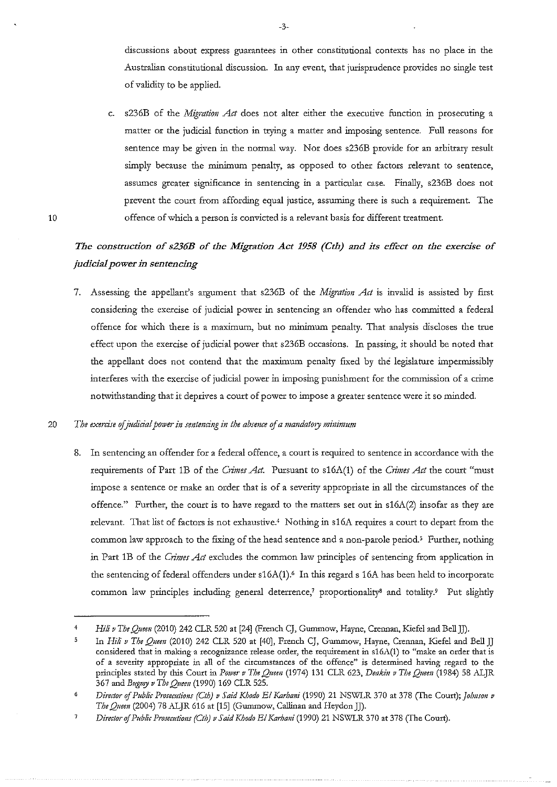**discussions about express guarantees in other constitutional contexts has no place in the**  Australian constitutional discussion. In any event, that jurisprudence provides no single test of validity to be applied.

c. s236B of the *Migration Act* does not alter either the executive function in prosecuting a matter or the judicial function in trying a matter and imposing sentence. Full reasons for sentence may be given in the normal way. Nor does s236B provide for an arbitrary result **simply because the minimum penalty, as opposed to other factors relevant to sentence,**  assumes greater significance in sentencing in a particular case. Finally, s236B does not prevent the court from affording equal justice, assuming there is such a requirement. The **offence of which a person is convicted is a relevant basis for different treatment.** 

# The construction of s236B of the Migration Act 1958 (Cth) and its effect on the exercise of *judicial power in sentencing*

7. Assessing the appellant's argument that s236B of the *Migration Act* is invalid is assisted by first considering the exercise of judicial power in sentencing an offender who has committed a federal offence for which there is a maximum, but no minimum penalty. That analysis discloses the true effect upon the exercise of judicial power that s236B occasions. In passing, it should be noted that the appellant does not contend that the maximum penalty fixed by the legislature impermissibly **interferes 'With the exercise of judicial power in imposing punishment for the commission of a crime**  notwithstanding that it deprives a court of power to impose a greater sentence were it so minded.

## **20** *Tbe exercise ofjudicia! power in smtencing in the absence* **of** *a mandatory minimum*

10

**8. In sentencing an offender for a federal offence, a court is required to sentence in accordance with the**  requirements of Part 1B of the *Crimes Act*. Pursuant to s16A(1) of the *Crimes Act* the court "must **impose a sentence or make an order that is of a severity appropriate in all the circumstances of the**  offence." Further, the court is to have regard to the matters set out in  $s16A(2)$  insofar as they are relevant. That list of factors is not exhaustive.<sup>4</sup> Nothing in s16A requires a court to depart from the common law approach to the fixing of the head sentence and a non-parole period.<sup>5</sup> Further, nothing in Part 1B of the *Crimes Act* excludes the common law principles of sentencing from application in the sentencing of federal offenders under s16A(1).<sup>6</sup> In this regard s 16A has been held to incorporate common law principles including general deterrence,<sup>7</sup> proportionality<sup>8</sup> and totality.<sup>9</sup> Put slightly

<sup>4</sup>*Hili v Tbe Quem* (2010) 242 CLR 520 at [24] (French CJ, Gummow, Hayne, Crennan, Kiefel and BellJJ).

In *Hili v The Quem* (2010) 242 CLR 520 at [40], French CJ, Gummow, Hayne, Crennan, Kiefel and Bell JJ considered that in making a recognizance release order, the requirement in s16A(1) to "make an order that is **of a severity appropriate in all of the circumstances of the offence" is determined having regard to the**  principles stated by this Court in Power v The Queen (1974) 131 CLR 623, Deakin v The Queen (1984) 58 ALJR 367 and *Bugmy v The Queen* (1990) 169 CLR 525.

<sup>6</sup> *Director of Public Prosecutions (Cth) v Said Khodo El Karhani* (1990) 21 NSWLR 370 at 378 (The Court); *Johnson v The Queen* (2004) 78 ALJR 616 at [15] (Gummow, Callinan and Heydon JJ).

 $\overline{7}$ *Director of Public Prosecutions (Cth) v Said Khodo El Karhani* (1990) 21 NSWLR 370 at 378 (The Court).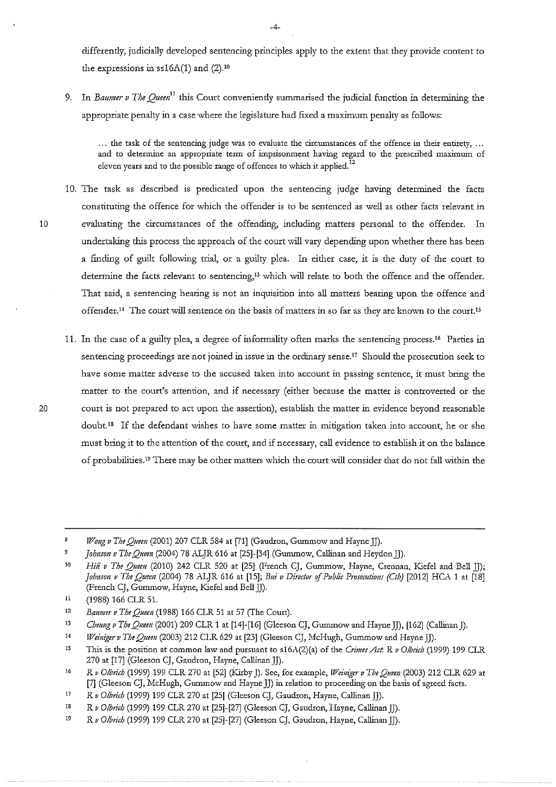differently, judicially developed sentencing principles apply to the extent that they provide content to the expressions in  $s16A(1)$  and  $(2).^{10}$ 

9. In *Baumer v The Queen*<sup>11</sup> this Court conveniently summarised the judicial function in determining the appropriate penalty in a case where the legislature had fixed a maximum penalty as follows:

... the task of the sentencing judge was to evaluate the circumstances of the offence in their entirety, ... and to determine an appropriate term of imprisonment having regard to the prescribed maximum of **eleven years and to the possible range of offences to which it applied. <sup>12</sup>**

- 10. The task as described is predicated upon the sentencing judge having determined the facts constituting the offence for which the offender is to be sentenced as well as other facts relevant in 10 evaluating the circumstances of the offending, including matters personal to the offender. In undertaking this process the approach of the court will vary depending upon whether there has been a finding of guilt following trial, or a guilty plea. In either case, it is the duty of the court to determine the facts relevant to sentencing,<sup>13</sup> which will relate to both the offence and the offender. That said, a sentencing hearing is not an inquisition into all matters bearing upon the offence and **offender. 14 The court will sentence on the basis of matters in so far as they are known to the coru:t.ts**
- 11. In the case of a guilty plea, a degree of informality often marks the sentencing process.<sup>16</sup> Parties in sentencing proceedings are not joined in issue in the ordinary sense.<sup>17</sup> Should the prosecution seek to **have some matter adverse to the accused taken into account in passing sentence, it must bring the matter to the court's attention, and if necessary (either because the matter is controverted or the 20 court is not prepared to act upon the assertion), establish the matter in evidence beyond reasonable doubt. 18 If the defendant wishes to have some matter in mitigation taken into account, he or she must bring it to the attention of the court, and if necessary, call evidence to establish it on the balance**  of probabilities.<sup>19</sup> There may be other matters which the court will consider that do not fall within the

14 *Weiniger v The Queen* (2003) 212 CLR 629 at [23] (Gleeson CJ, McHugh, Gummow and Hayne JJ).

 $\mathbf{z}$ *Wong v The Queen* (2001) 207 CLR 584 at [71] (Gaudron, Gummow and Hayne JJ).

 $\overline{9}$ *johnson v The Queen* (2004) 78 ALJR 616 at [25]-[34] (Gummow, Callinan and Heydon))).

<sup>10</sup>  *Hili v The Queen* (2010) 242 CLR 520 at [25] (French CJ, Gummow, Hayne, Crennan, Kiefel and Bell JJ); *Johnson v The Queen (2004) 78 ALJR 616 at [15]; Bui v Director of Public Prosecutions (Cth)* [2012] HCA 1 at [18] (French CJ, Gummow, Hayne, Kiefel and Bell JJ).

<sup>11</sup>  (1988) 166 CLR 51.

<sup>12</sup>  *Baumer v Tbe Queen* (1988) 166 CLR 51 at 57 (The Court).

<sup>13</sup>  *Cheung v The Quem* (2001) 209 CLR 1 at [14]-[16] (Gleeson CJ, Gummow and Hayne JJ), [162] (Callinan)).

<sup>15</sup>  This is the position at common law and pursuant to s16A(2)(a) of the *Crimes Act*: R v Olbrich (1999) 199 CLR 270 at [17] (Gleeson CJ, Gaudron, Hayne, Callinan]]).

<sup>16</sup>  *R v Olbrich* (1999) 199 CLR 270 at [52] (Kirby J). See, for example, *Il7einiger v The* Q;~em (2003) 212 CLR 629 at [7] (Gleeson CJ, McHugh, Gummow and Hayne JJ) in relation to proceeding on the basis of agreed facts.

<sup>17</sup>  *R v Olbrich* (1999) 199 CLR 270 at [25] (Gleeson CJ, Gaudron, Hayne, Callinan JJ).

<sup>18</sup>  *R v Olbrich* (1999) 199 CLR 270 at [25]-[27] (Gleeson CJ, Gaudron, Hayne, Callinan JJ).

<sup>19</sup>  *R v Olbrich* (1999) 199 CLR 270 at [25]-[27] (Gleeson CJ, Gaudron, Hayne, Callinan JJ).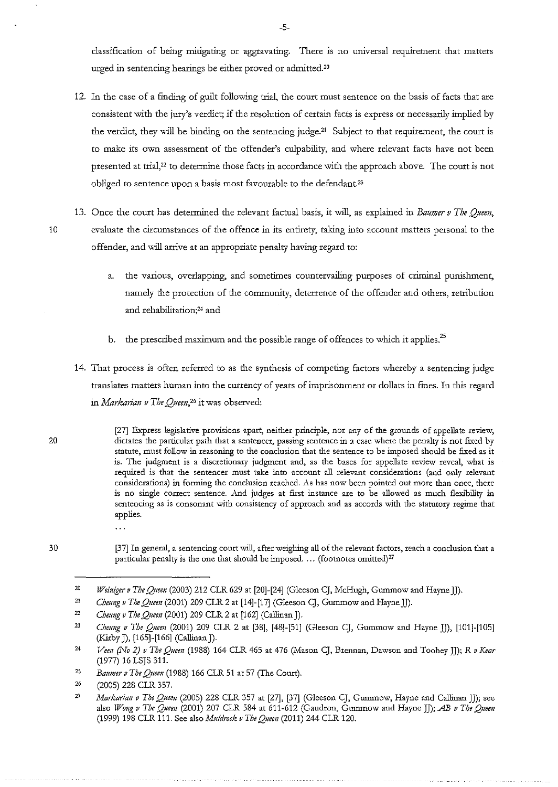classification of being mitigating or aggravating. There is no universal requirement that matters urged in sentencing hearings be either proved or admitted.20

- 12. In the case of a finding of guilt following trial, the court must sentence on the basis of facts that are consistent with the jury's verdict; if the resolution of certain facts is express or necessarily implied by the verdict, they will be binding on the sentencing judge.<sup>21</sup> Subject to that requirement, the court is **to make its own assessment of the offender's culpability, and where relevant facts have not been**  presented at trial,<sup>22</sup> to determine those facts in accordance with the approach above. The court is not obliged to sentence upon a basis most favourable to the defendant.<sup>23</sup>
- 13. Once the court has determined the relevant factual basis, it will, as explained in *Baumer v The Queen*, **10 evaluate the circumstances of the offence in its entirety, taking into account matters personal to the**  offender, and will arrive at an appropriate penalty having regard to:
	- a. the various, overlapping, and sometimes countervailing purposes of criminal punishment, namely the protection of the community, deterrence of the offender and others, retribution and rehabilitation;<sup>24</sup> and
	- b. the prescribed maximum and the possible range of offences to which it applies.<sup>25</sup>
	- 14. That process is often referred to as the synthesis of competing factors whereby a sentencing judge **translates matters human into the currency of years of imprisonment or dollats in fines. In this regard in** *Markarian v The Queen,26* **it was observed:**

**[27] &.-press legislative provisions apart, neither principle, nor any of the grounds of appellate review, dictates the particular path that a sentencer, passing sentence in a case where the penalty is not fixed by statute, must follow in reasoning to the conclusion that the sentence to be imposed should be fixed as it is. The judgment is a discretionary judgment and, as the bases for appellate review reveal, what is required is that the sentencer must take into account all relevant considerations (and only relevant**  considerations) in forming the conclusion reached. As has now been pointed out more than once, there is no single correct sentence. And judges at first instance are to be allowed as much flexibility in sentencing as is consonant with consistency of approach and as accords with the statutory regime that applies.

 $\ddotsc$ 

**[37] In general, a sentencing court will, after weighing all of the relevant factors, reach a conclusion that a particular penalty is the one that should be imposed .** ... **(footnotes omitted)27** 

- 21 *Cheung v The Quee11* (2001) 209 CLR 2 at [14]-[17] (Gleeson CJ, Gummow and Hayne JJ).
- 22 *Cheung v The Queen* (2001) 209 CLR 2 at [162] (Callinan J).

20

<sup>20</sup>  *TiYei11(ger v The Qttem* (2003) 212 CLR 629 at [20]-[24] (Gleeson CJ, McHugh, Gummow and Hayne JJ).

<sup>23</sup>  *Cheung v The Quee11* (2001) 209 CLR 2 at [38], [48]-[51] (Gleeson CJ, Gummow and Hayne JJ), [101]-[105] (Kirby J), [165]-[166] (Callinan]).

<sup>24</sup>  *Vem (No 2) v The Quem* (1988) 164 CLR 465 at 476 (Mason CJ, Brennan, Dawson and Toohey JJ); *R v Kear*  (1977) 16 LSJS 311.

<sup>25</sup>  *Baumer v The Queen* (1988) 166 CLR 51 at 57 (The Court).

<sup>26</sup>  (2005) 228 CLR 357.

<sup>27</sup>  *Markmian v The Queen* (2005) 228 CLR 357 at [27], [37] (Gleeson CJ, Gummow, Hayne and Callinan]]); see also *Wong v The Queen* (2001) 207 CLR 584 at 611-612 (Gaudron, Gummow and Hayne]]); *AB v The Queen*  (1999) 198 CLR 111. See also *Muldmck v The Quee11* (2011) 244 CLR 120.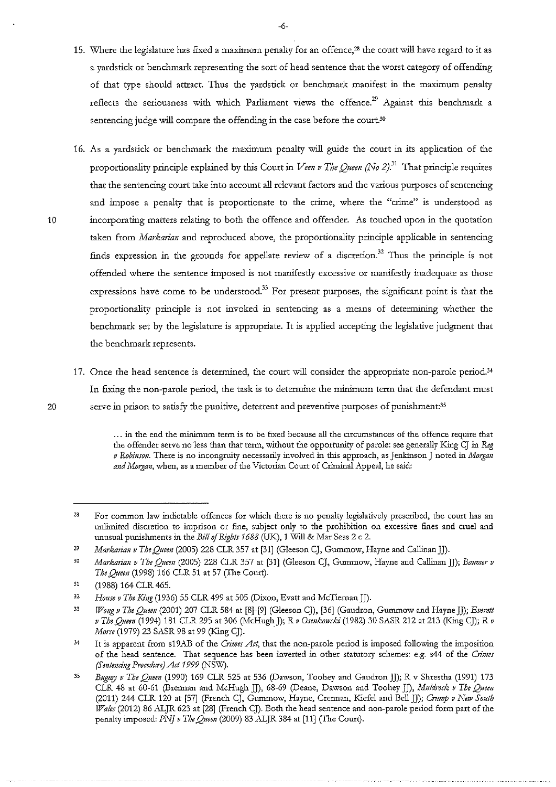- 15. Where the legislature has fixed a maximum penalty for an offence,28 the court will have regard to it as a yardstick or benchmark representing the sort of head sentence that the worst category of offending of that type should attract. Thus the yardstick or benchmark manifest in the maximum penalty reflects the seriousness with which Parliament views the offence.<sup>29</sup> Against this benchmark a sentencing judge will compare the offending in the case before the court.<sup>30</sup>
- 16. As a yardstick or benchmark the maximum penalty will guide the court in its application of the proportionality principle explained by this Court in *Veen v The Oueen* (No 2).<sup>31</sup> That principle requires **that the sentencing court take into account all relevant factors and the various purposes of sentencing**  and impose a penalty that is proportionate to the crime, where the "crime" is understood as 10 incorporating matters relating to both the offence and offender. As touched upon in the quotation taken from *Markarian* and reproduced above, the proportionality principle applicable in sentencing finds expression in the grounds for appellate review of a discretion.<sup>32</sup> Thus the principle is not **offended where the sentence imposed is not manifestly excessive or manifestly inadequate as those expressions have come to be understood.33 For present purposes, the significant point is that the**  proportionality principle is not invoked in sentencing as a means of determining whether the benchmark set by the legislature is appropriate. It is applied accepting the legislative judgment that the benchmark represents.
- 17. Once the head sentence is determined, the court will consider the appropriate non-parole period.<sup>34</sup> In fixing the non-parole period, the task is to determine the minimum term that the defendant must 20 serve in prison to satisfy the punitive, deterrent and preventive purposes of punishment:<sup>35</sup>

<sup>...</sup> in the end the minimum term is to be fixed because all the circumstances of the offence require that the offender serve no less than that term, without the opportunity of parole: see generally King CJ in *Reg v Robinson.* There is no incongruity necessarily involved in this approach, as Jenkinson J noted in *Morgan* and Morgan, when, as a member of the Victorian Court of Criminal Appeal, he said:

<sup>28</sup>  **For common law indictable offences for which there is no penalty legislatively prescribed, the court has an**  unlimited discretion to imprison or fine, subject only to the prohibition on excessive fines and cruel and unusual punishments in the *Bill* of *Rights 1688* (UK), 1 Will & Mar Sess 2 c 2.

*<sup>29</sup>  Markarian v The Quem* (2005) 228 CLR 357 at [31] (Gleeson CJ, Gummow, Hayne and Callinan]]).

<sup>30</sup>  *Markarian v The Queen* (2005) 228 CLR 357 at [31] (Gleeson CJ, Gummow, Hayne and Callinan II); *Baumer v The Queen* (1998) 166 CLR 51 at 57 (The Court).

<sup>31</sup>  (1988) 164 CLR 465.

<sup>32</sup>  *House v The King* (1936) 55 CLR 499 at 505 (Dixon, Evatt and McTiernan]]).

<sup>33</sup>  *Wol(g v The Quem* (2001) 207 CLR 584 at [8]-[9] (Gleeson CJ), [36] (Gaudron, Gummow and Hayne JJ); *Everett v The Quem* (1994) 181 CLR 295 at 306 (McHugh J); *R v Osmkowski* (1982) 30 SASR 212 at 213 (King CJ); *R v Morse* (1979) 23 SASR 98 at 99 (King CJ). .

<sup>34</sup>  It is apparent from s19AB of the *Crimes Act*, that the non-parole period is imposed following the imposition of the head sentence. That sequence has been inverted in other statutory schemes: e.g. s44 of the *Crimes (Sentencing Procedure) Act 1999* (NSW).

<sup>35</sup> *Bugmy v The Queen* (1990) 169 CLR 525 at 536 (Dawson, Toohey and GaudronJJ); R *v* Shrestha (1991) 173 CLR 48 at 60-61 (Brennan and McHugh JJ), 68-69 (Deane, Dawson and Toohey JJ), *Muldrock v The Queen* (2011) 244 CLR 120 at [57] (French CJ, Gummow, Hayne, Crennan, Kiefel and Bell JJ); *Crump v New South <i>fVales* (2012) 86 ALJR 623 at [28] (French CJ). Both the head sentence and non-parole period form part of the penalty imposed: *PNJ v The Queen* (2009) 83 .ALJR 384 at (11] *(The* Court).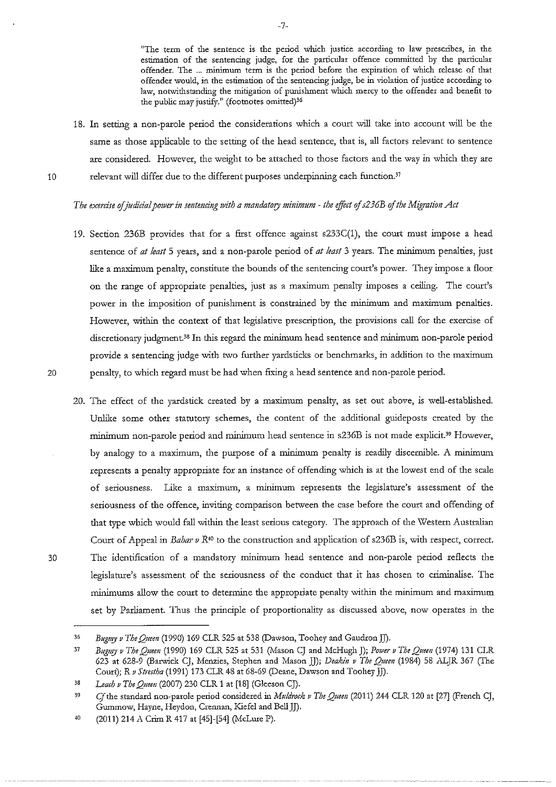"The term of the sentence is the period which justice according to law prescribes, in the **estimation of the sentencing judge, for the particular offence committed by the particular**  offender. The ... minimum term is the period before the expiration of which release of that **offender would, in the estimation of rl1e sentencing judge, be in violation of justice according to law, notwithstanding the mitigation of punishment which mercy to the offender and benefit to**  the public may justify." (footnotes omitted)<sup>36</sup>

18. In setting a non-parole period the considerations which a court will take into account will be the same as those applicable to the setting of the head sentence, that is, all factors relevant to sentence are considered. However, the weight to be attached to those factors and the way in which they are 10 relevant will differ due to the different purposes underpinning each function.<sup>37</sup>

## *The exercise ofjudicial power in sentencing 1vith a mandatory minimum* - *the efftct of s236B of the Migration Act*

- 19. Section 236B provides that for a first offence against s233C(1), the court must impose a head sentence of *at least* 5 years, and a non-parole period of *at least* 3 years. The minimum penalties, just like a maximum penalty, constitute the bounds of the sentencing court's power. They impose a floor on the range of appropriate penalties, just as a maximum penalty imposes a ceiling. The court's power in the imposition of punishment is constrained by the minimum and maximum penalties. **However, within the context of that legislative prescription, the provisions call for the exercise of**  discretionary judgment.<sup>38</sup> In this regard the minimum head sentence and minimum non-parole period provide a sentencing judge with two further yardsticks or benchmarks, in addition to the maximum 20 penalty, to which regard must be had when fixing a head sentence and non-parole period.
- 20. The effect of the yardstick created by a maximum penalty, as set out above, is well-established. Unlike some other statutory schemes, the content of the additional guideposts created by the minimum non-parole period and minimum head sentence in s236B is not made explicit.<sup>39</sup> However, by analogy to a maximum, the purpose of a minimum penalty is readily discernible. A minimum represents a penalty appropriate for an instance of offending which is at the lowest end of the scale of seriousness. Like a maximum, a minimum represents the legislature's assessment of the **seriousness of the offence, inviting comparison between the case before the court and offending of**  that type which would fall within the least serious category. The approach of the Western Australian Court of Appeal in *Bahar v R*<sup>40</sup> to the construction and application of s236B is, with respect, correct. 30 The identification of a mandatory minimum head sentence and non-parole period reflects the **legislature's assessment of the seriousness of the conduct that it has chosen to criminalise. The**  minimums allow the court to determine the appropriate penalty within the minimum and maximum set by Parliament. Thus the principle of proportionality as discussed above, now operates in the

<sup>36</sup>  Bugmy v The Queen (1990) 169 CLR 525 at 538 (Dawson, Toohey and Gaudron JJ).

<sup>37</sup>  *Bugmy v The Queeu* (1990) 169 CLR 525 at 531 (Mason CJ and McHugh J); *P01ver v The Quem* (1974) 131 CLR 623 at 628-9 (Barwick CJ, Menzies, Stephen and Mason JJ); *Deakin v The Queeu* (1984) 58 .ALJR 367 (The Court); R v Strestha (1991) 173 CLR 48 at 68-69 (Deane, Dawson and Toohey JJ).

<sup>38</sup>  *Leach v The Quem* (2007) 230 CLR 1 at [18] (Gleeson CJ).

<sup>39</sup>  Cjthe standard non-parole period considered in *Muld1vck v The Quem* (2011) 244 CLR 120 at [27] (French CJ, Gummow, Hayne, Heydon, Crennan, Kiefel and Bell]]).

<sup>40</sup>  (2011) 214 *A* Crim R 417 at [45]-[54] (McLure P).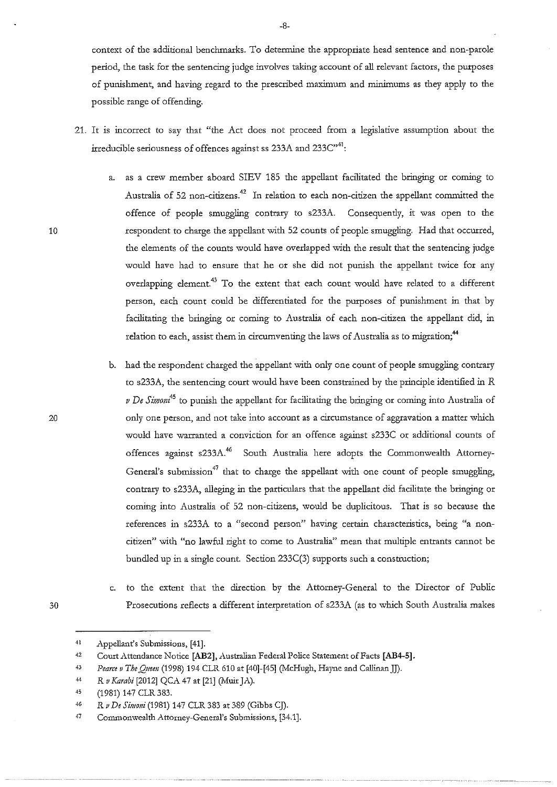context of the additional benchmarks. To determine the appropriate head sentence and non-parole **period, the task for the sentencing judge involves taking account of all relevant factors, the pw:poses**  of punishment, and having regard to the prescribed maximum and minimums as they apply to the possible range of offending.

- 21. It is incorrect to say that "the Act does not proceed from a legislative assumption about the irreducible seriousness of offences against ss 233A and 233C"<sup>41</sup>:
	- a. as a crew member aboard SIEV 185 the appellant facilitated the bringing or coming to Australia of 52 non-citizens.<sup>42</sup> In relation to each non-citizen the appellant committed the offence of people smuggling contrary to s233A. Consequently, it was open to the respondent to charge the appellant with 52 counts of people smuggling. Had that occurred, the elements of the counts would have overlapped with the result that the sentencing judge would have had to ensure that he or she did not punish the appellant twice for any overlapping element.<sup>43</sup> To the extent that each count would have related to a different person, each count could be differentiated for the purposes of punishment in that by facilitating the bringing or coming to Australia of each non-citizen the appellant did, in relation to each, assist them in circumventing the laws of Australia as to migration;<sup>44</sup>
	- b. had the respondent charged the appellant with only one count of people smuggling contrary to s233A, the sentencing court would have been constrained by the principle identified in *R v De Simon*<sup>45</sup> to punish the appellant for facilitating the bringing or coming into Australia of **only one person, and not take into account as a circumstance of aggravation a matter which**  would have warranted a conviction for an offence against s233C or additional counts of offences against s233A.<sup>46</sup> South Australia here adopts the Commonwealth Attorney-General's submission<sup>47</sup> that to charge the appellant with one count of people smuggling, contrary to s233A, alleging in the particulars that the appellant did facilitate the bringing or coming into Australia of 52 non-citizens, would be duplicitous. That is so because the **references in s233A to a "second person" having certain characteristics, being "a noncitizen" with "no lawful right to come to Australia" mean that multiple entrants cannot be**  bundled up in a single count. Section 233C(3) supports such a construction;
- c. to the extent that the direction by the Attorney-General to the Director of Public 30 Prosecutions reflects a different interpretation of s233A (as to which South Australia makes

10

<sup>41</sup>  .Appellant's Submissions, [41].

<sup>42</sup>  Court Attendance Notice [AB2], Australian Federal Police Statement of Facts [AB4-5].

<sup>43</sup>  Pearce v The Queen (1998) 194 CLR 610 at [40]-[45] (McHugh, Hayne and Callinan JJ).

<sup>44</sup>  *R v Karabi* [2012] QCA 47 at [21] (Muir JA).

 $45$ (1981) 147 CLR 383.

<sup>46</sup>  *R v De Simoni* (1981) 147 CLR 383 at 389 (Gibbs CJ).

<sup>47</sup>  **Commonwealth Attorney-General's Submissions, [34.1** ].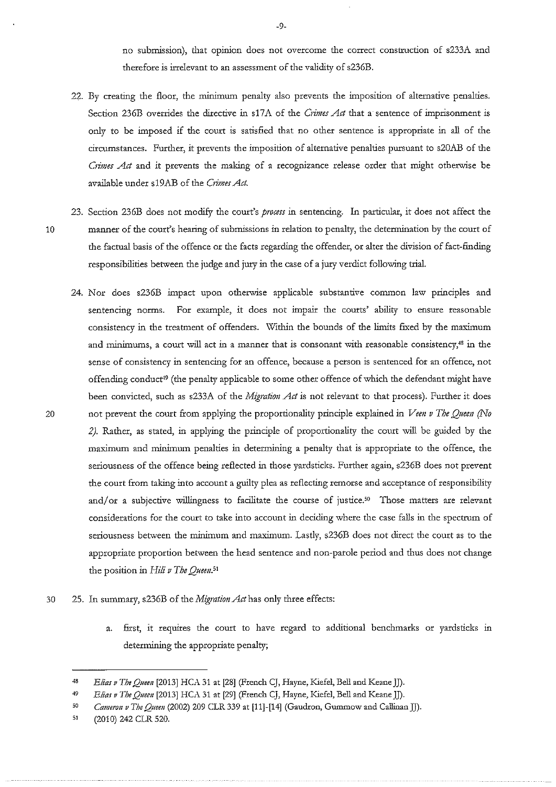no submission), that opinion does not overcome the correct construction of s233A and therefore is irrelevant to an assessment of the validity of s236B.

- 22. By creating the floor, the minimum penalty also prevents the imposition of alternative penalties. Section 236B overrides the directive in s17A of the *Crimes Act* that a sentence of imprisonment is only to be imposed if the court is satisfied that no other sentence is appropriate in all of the circumstances. Further, it prevents the imposition of alternative penalties pursuant to s20AB of the *Crimes Act* and it prevents the making of a recognizance release order that might otherwise be available under s19AB of the *Crimes Act*.
- 23. Section 236B does not modify the court's *process* in sentencing. In particular, it does not affect the 10 manuter of the court's hearing of submissions in relation to penalty, the determination by the court of the factual basis of the offence or the facts regarding the offender, or alter the division of fact-finding responsibilities between the judge and jury in the case of a jury verdict following trial.
- 24. Nor does s236B impact upon otherwise applicable substantive common law principles and sentencing norms. For example, it does not impair the courts' ability to ensure reasonable consistency in the treatment of offenders. Within the bounds of the limits fixed by the maximum and minimums, a court will act in a manner that is consonant with reasonable consistency,<sup>48</sup> in the **sense of consistency in sentencing for an offence, because a person is sentenced for an offence, not**  offending conduct<sup>19</sup> (the penalty applicable to some other offence of which the defendant might have been convicted, such as s233A of the *Migration Act* is not relevant to that process). Further it does 20 not prevent the court from applying the proportionality principle explained in *Veen v The Queen (No* 2). Rather, as stated, in applying the principle of proportionality the court will be guided by the maximum and minimum penalties in determining a penalty that is appropriate to the offence, the seriousness of the offence being reflected in those yardsticks. Further again, s236B does not prevent the court from taking into account a guilty plea as reflecting remorse and acceptance of responsibility and/or a subjective willingness to facilitate the course of justice.<sup>50</sup> Those matters are relevant **considerations for the court to take into account in deciding where the case falls in the spectrum of**  seriousness between the minimum and maximum. Lastly, s236B does not direct the court as to the appropriate proportion between the head sentence and non-parole period and thus does not change the position in Hili v The Queen.<sup>51</sup>
- 30 25. In summary, s236B of the *Migration Act* has only three effects:
	- a. first, it requires the court to have regard to additional benchmarks or yardsticks in determining the appropriate penalty;

-9-

<sup>48</sup>  *Elias v The Queen* [2013] HCA 31 at [28] (French CJ, Hayne, Kiefel, Bell and Keane JJ).

<sup>49</sup>  *Elias v The Quem* [2013] HCA 31 at [29] (French CJ, Hayne, Kiefel, Bell and Keane JJ).

<sup>;</sup>o *Cameron v The Queen* (2002) 209 CLR 339 at [11]-[14] (Gaudron, Gummow and Callinan]]).

<sup>51</sup> (2010) 242 CLR 520.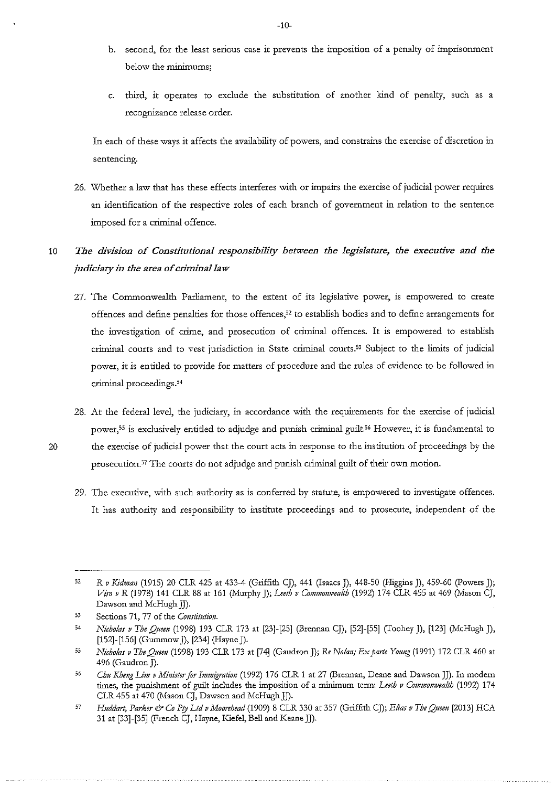- **b. second, for the least serious case it prevents the imposition of a penalty of imprisonment below the minimums;**
- c. third, it operates to exclude the substitution of another kind of penalty, such as a **recognizance release order.**

In each of these ways it affects the availability of powers, and constrains the exercise of discretion in **sentencing.** 

26. Whether a law that has these effects interferes with or impairs the exercise of judicial power requires **an identification of the respective roles of each branch of government in relation to the sentence**  imposed for a criminal offence.

# <sup>10</sup>*The division of Constitutional responsibility between the legislature, the executive and the judiciary in the area of crimina/Jaw*

- **27. The Commonwealth Parliament, to the extent of its legislative power, is empowered to create**  offences and define penalties for those offences,<sup>52</sup> to establish bodies and to define arrangements for the investigation of crime, and prosecution of criminal offences. It is empowered to establish criminal courts and to vest jurisdiction in State criminal courts.<sup>53</sup> Subject to the limits of judicial power, it is entitled to provide for matters of procedure and the rules of evidence to be followed in **criminal proceedings. 54**
- 28. At the federal level, the judiciary, in accordance with the requirements for the exercise of judicial power,<sup>55</sup> is exclusively entitled to adjudge and punish criminal guilt.<sup>56</sup> However, it is fundamental to 20 the exercise of judicial power that the court acts in response to the institution of proceedings by the prosecution.<sup>57</sup> The courts do not adjudge and punish criminal guilt of their own motion.
	- 29. The executive, with such authority as is conferred by statute, is empowered to investigate offences. It has authority and responsibility to institute proceedings and to prosecute, independent of the

-10-

<sup>32</sup>  *R v Kidman* (1915) 20 CLR 425 at 433-4 (Griffith CJ), 441 (Isaacs J), 448-50 (Higgins J), 459-60 (Powers J); *Vi1v v R* (1978) 141 CLR 88 at 161 (Murphy J); *Leeth v Commonwealth* (1992) 174 CLR 455 at 469 (Mason CJ, Dawson and McHugh JJ).

<sup>33</sup>  **Sections 71, 77 of the** *Constitution.* 

<sup>34</sup>  *Nicholas v The Q11m1* (1998) 193 CLR 173 at [23]-[25] (Brennan CJ), [52]-[55] (Toohey J), [123] (McHugh J), [152]-[156] (Gummow J), [234] (Hayne J).

**<sup>55</sup>**  *Nicholas v The Q11ee11* (1998) 193 CLR 173 at [74] (Gaudron J); Re *Nolan; Ex parte Yolll(g* (1991) 172 CLR 460 at 496 (Gaudron J).

<sup>66</sup> *Ch11 Kheng Lim v Minister for Immigration* (1992) 176 CLR 1 at 27 (Brennan, Deane and Dawson JJ). In modern times, the punishment of guilt includes the imposition of a minimum term: *Leeth v Commonwealth* (1992) 174 CLR 455 at 470 (Mason CJ, Dawson and McHugh JJ).

<sup>37</sup>  *Huddart, Parker & Co Pty Ltd v Moorehead* (1909) 8 CLR 330 at 357 (Griffith CJ); *Elias v The Queen* [2013] HCA 31 at [33]-[35] (French CJ, Hayne, Kiefel, Bell and Keane JJ).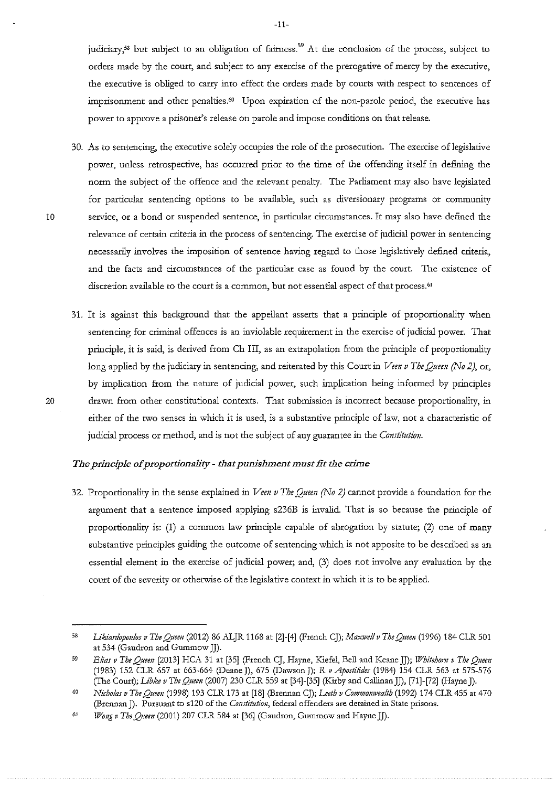**judiciary, 58 but subject to an obligation of fairness. 5 9 At the conclusion of the process, subject to**  orders made by the court, and subject to any exercise of the prerogative of mercy by the executive, the executive is obliged to carry into effect the orders made by courts with respect to sentences of imprisonment and other penalties.<sup>60</sup> Upon expiration of the non-parole period, the executive has **power to approve a prisoner's release on parole and impose conditions on that release.** 

-11-

- 30. As to sentencing, the executive solely occupies the role of the prosecution. The exercise of legislative power, unless retrospective, has occurred prior to the time of the offending itself in defining the norm the subject of the offence and the relevant penalty. The Parliament may also have legislated for particular sentencing options to be available, such as diversionary programs or community **10 service, or a bond or suspended sentence, in particular circumstances. It may also have defined the relevance of certain criteria in the process of sentencing. The exercise of judicial power in sentencing**  necessarily involves the imposition of sentence having regard to those legislatively defined criteria, and the facts and circumstances of the particular case as found by the court. The existence of **discretion available to the court is a common, but not essential aspect of that process.61**
- 31. It is against this background that the appellant asserts that a principle of proportionality when **sentencing for criminal offences is an inviolable requirement in the exercise of judicial power. That**  principle, it is said, is derived from Ch III, as an extrapolation from the principle of proportionality long applied by the judiciary in sentencing, and reiterated by this Court in *Veen v The Queen (No 2)*, or, by implication from the nature of judicial power, such implication being informed by principles **20 drawn from other constitutional contexts. That submission is incorrect because proportionality, in either of the two senses in which it is used, is a substantive principle of law, not a characteristic of**  judicial process or method, and is not the subject of any guarantee in the *Constitution.*

## *The principle of proportionality- that punishment must tit the crime*

32. Proportionality in the sense explained in *Veen v The Queen (No 2)* cannot provide a foundation for the argument that a sentence imposed applying s236B is invalid. That is so because the principle of proportionality is: (1) a common law principle capable of abrogation by statute; (2) one of many substantive principles guiding the outcome of sentencing which is not apposite to be described as an essential element in the exercise of judicial power; and, (3) does not involve any evaluation by the court of the severity or otherwise of the legislative context in which it is to be applied.

<sup>58</sup>  *I.ikiardopotilos v The Queen* (2012) 86 .ALJR 1168 at [2]-[4] (French CJ); *Maxwell v The Qneen* (1996) 184 CLR 501 at 534 (Gaudron and Gummow JJ).

<sup>59</sup>  *Elias v The Queen* [2013] HCA 31 at [35] (French CJ, Hayne, Kiefel, Bell and Keane JJ); *IPbitehom v The Qneen*  (1983) 152 CLR 657 at 663-664 (Deane]), 675 (Dawson]); R *vApostilides* (1984) 154 CLR 563 at 575-576 (The Court); *I.ibke v The Queen* (2007) 230 CLR 559 at [34]-[35] (Kirby and Callinan JJ), [71]-[72] (Hayne J).

<sup>60</sup>  *Nicholas v The Queen* (1998) 193 CLR 173 at [18] (Brennan CJ); *Leeth v Commonwealth* (1992) 174 CLR 455 at 470 (Brennan J). Pursuant to s120 of the *Constitution*, federal offenders are detained in State prisons.

<sup>61</sup>  *Wong v The Queen* (2001) 207 CLR 584 at [36] (Gaudron, Gummow and Hayne JJ).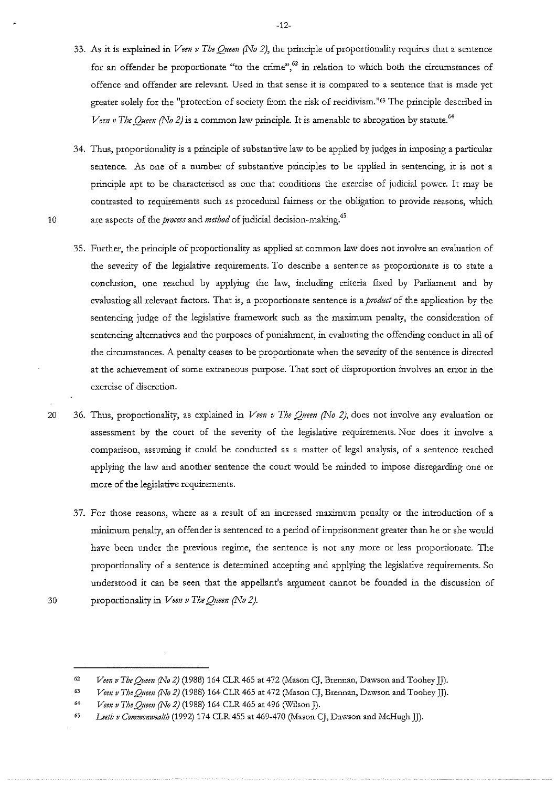- 33. As it is explained in *Veen v The Oueen (No 2)*, the principle of proportionality requires that a sentence **for an offender be proportionate "to the crime",62 in relation to which both the circumstances of offence and offender are relevant. Used in that sense it is compared to a sentence that is made yet**  greater solely for the "protection of society from the risk of recidivism."<sup>63</sup> The principle described in *Veen v The Oueen (No 2)* is a common law principle. It is amenable to abrogation by statute.<sup>64</sup>
- 34. Thus, proportionality is a principle of substantive law to be applied by judges in imposing a particular sentence. As one of a number of substantive principles to be applied in sentencing, it is not a principle apt to be characterised as one that conditions the exercise of judicial power. It may be **contrasted to requirements such as procedural fairness or the obligation to provide reasons, which**  10 are aspects of the *process* and *method* of judicial decision-making.<sup>65</sup>
	- 35. Further, the principle of proportionality as applied at common law does not involve an evaluation of the severity of the legislative requirements. To describe a sentence as proportionate is to state a conclusion, one reached by applying the law, including criteria fixed by Parliament and by evaluating all relevant factors. That is, a proportionate sentence is a *product* of the application by the sentencing judge of the legislative framework such as the maximum penalty, the consideration of sentencing alternatives and the purposes of punishment, in evaluating the offending conduct in all of the circumstances. A penalty ceases to be proportionate when the severity of the sentence is directed **at the achievement of some extraneous purpose. That sort of disproportion involves an error in the exercise of discretion.**
- 20 36. Thus, proportionality, as explained in *Veen v The Queen (No 2)*, does not involve any evaluation or assessment by the court of the severity of the legislative requirements. Nor does it involve a **comparison, assuming it could be conducted as a matter of legal analysis, of a sentence reached**  applying the law and another sentence the court would be minded to impose disregarding one or more of the legislative requirements.
	- **37. For d1ose reasons, where as a result of an increased 1naximum penalty or the introduction of a**  minimum penalty, an offender is sentenced to a period of imprisonment greater than he or she would have been under the previous regime, the sentence is not any more or less proportionate. The proportionality of a sentence is determined accepting and applying the legislative requirements. So understood it can be seen that the appellant's argument cannot be founded in the discussion of proportionality in *Vem v Tbe Queen (No 2).*
- 30

<sup>62</sup>  *Vem v Tbe Quem (No 2)* (1988) 164 CLR 465 at 472 (Mason CJ, Brennan, Dawson and Toohey]]).

<sup>63</sup>  *Vem v The Quem (No 2)* (1988) 164 CLR 465 at 472 (Mason CJ, Brennan, Dawson and Toohey]]).

<sup>64</sup>  *Vem v The Queen (No 2)* (1988) 164 CLR 465 at 496 (Wilson]).

<sup>65</sup> *Leeth v Commomvealth* (1992) 174 CLR 455 at 469-470 (Mason CJ, Dawson and McHugh]]).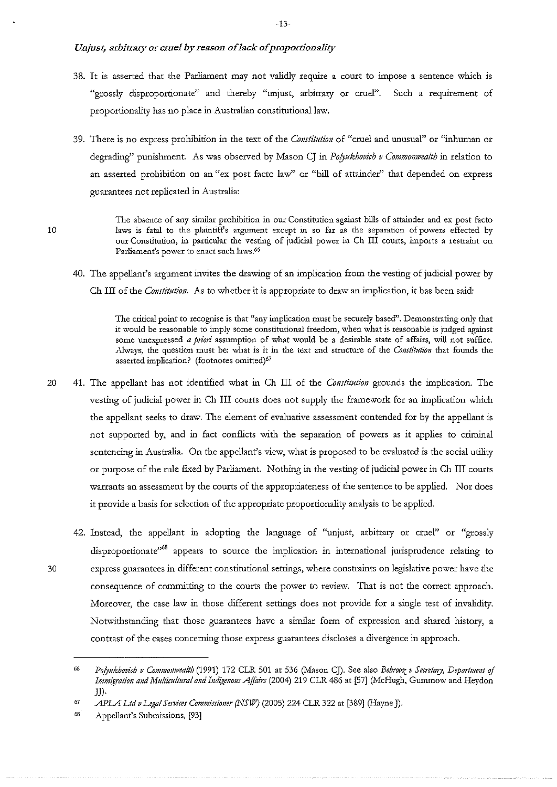- 38. It is asserted that the Parliament may not validly require a court to impose a sentence which is "grossly disproportionate" and thereby "unjust, arbitrary or cruel". Such a requirement of proportionality has no place in Australian constitutional law.
- **39. There is no express prohibition** *in* **the text of the** *Constitution* **of "cruel and unusual" or "inhwnan or**  degrading" punishment. As was observed by Mason CJ in *Polyukhovich v Commonwealth* in relation to **an asserted prohibition on an "ex post facto law" or "bill of attainder'' that depended on express**  guarantees not replicated in Australia:
	- **The absence of any similar prohibition in our Constitution against bills of attainder and ex post facto laws is fatal to the plaintiff's argument except in so far as the separation of powers effected by our Constitution, in particular the vesting of judicial power in Ch III courts, imports a restraint on Parliament's power to enact such laws.66**
- 40. The appellant's argument invites the drawing of an implication from the vesting of judicial power by Ch III of the *Constittttion.* As to whether it is appropriate to draw an implication, it has been said:

The critical point to recognise is that "any implication must be securely based". Demonstrating only that **it would be reasonable to imply some constitutional freedom, when what is reasonable is judged against**  some unexpressed *a priori* assumption of what would be a desirable state of affairs, will not suffice. Always, the question must be: what is it in the text and structure of the *Constitution* that founds the **asserted implication? (footnotes omitted)67** 

- 20 41. The appellant has not identified what in Ch III of the *Constitution* grounds the implication. The vesting of judicial power in Ch III courts does not supply the framework for an implication which the appellant seeks to draw. The element of evaluative assessment contended for by the appellant is not supported by, and in fact conflicts with the separation of powers as it applies to criminal sentencing in Australia. On the appellant's view, what is proposed to be evaluated is the social utility or purpose of the rule fixed by Parliament. Nothing in the vesting of judicial power in Ch III courts warrants an assessment by the courts of the appropriateness of the sentence to be applied. Nor does it provide a basis for selection of the appropriate proportionality analysis to be applied.
- 42. Instead, the appellant in adopting the language of "unjust, arbitrary or cruel" or "grossly **disproportionate"<sup>68</sup> appears to source the implication in international jurisprudence relating to 30 express guarantees in different constitutional settings, where constraints on legislative power have the consequence of committing to the courts the power to review. That is not the conect approach.**  Moreover, the case law in those different settings does not provide for a single test of invalidity. Notwithstanding that those guarantees have a similar form of expression and shared history, a **contrast of the cases concerning those express guarantees discloses a divergence in approach.**

<sup>66</sup>  *Po!Jukhovich v CommoJJwealth* (1991) 172 CLR 501 at 536 (Mason CJ). See also *Behrooz v Secretary, Depmtmmt* of *Immigration and Multicultural and Indigmous Affairs* (2004) 219 CLR 486 at [57] (McHugh, Gummow and Heydon JJ).

<sup>67</sup>  *APLA Ltd v Legal Services Commissioner (NSW)* (2005) 224 CLR 322 at [389] (Hayne J).

<sup>08</sup>  Appellant's Submissions, [93]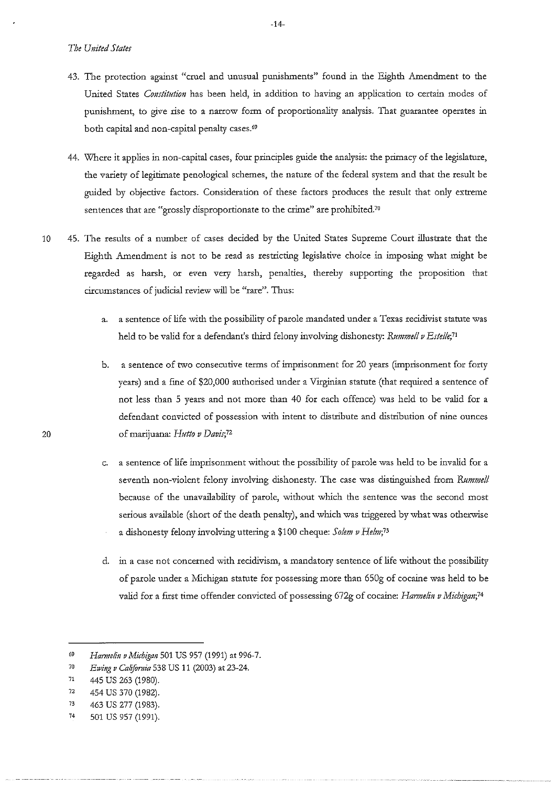- 43. The protection against "cruel and unusual punishments" found in the Eighth Amendment to the United States *Constitution* has been held, in addition to having an application to certain modes of **punishment, to give rise to a narrow form of proportionality analysis. That guarantee operates in**  both capital and non-capital penalty cases.<sup>69</sup>
- 44. \Vhere it applies in non-capital cases, four principles guide the analysis: the primacy of the legislature, the variety of legitimate penological schemes, the nature of the federal system and that the result be guided by objective factors. Consideration of these factors produces the result that only extreme **sentences that are "grossly disproportionate to the crime" are prohibited.70**
- 10 45. The results of a number of cases decided by the United States Supreme Court illustrate that the Eighth Amendment is not to be read as restricting legislative choice in imposing what might be regarded as harsh, or even very harsh, penalties, thereby supporting the proposition that circumstances of judicial review will be "rare". Thus:
	- a. a sentence of life with the possibility of parole mandated under a Texas recidivist statute was held to be valid for a defendant's third felony involving dishonesty: *Rummell v Estelle*;<sup>71</sup>
- **b.** a sentence of two consecutive terms of imprisonment for 20 years (imprisonment for forty years) and a fine of \$20,000 authorised under a Virginian statute (that required a sentence of not less than 5 years and not more than 40 for each offence) was held to be valid for a defendant convicted of possession with intent to distribute and distribution of nine ounces **20 of marijuana:** *Hutto v Davis;72* 
	- c. a sentence of life imprisonment without the possibility of parole was held to be invalid for a seventh non-violent felony involving dishonesty. The case was distinguished from *Rummell* because of the unavailability of parole, without which the sentence was the second most serious available (short of the death penalty), and which was triggered by what was otherwise a dishonesty felony involving uttering a \$100 cheque: Solem v Helm;<sup>73</sup>
	- **d. in a case not concerned \\r-ith recidivism, a mandatory sentence of life without the possibility**  of parole under a Michigan statute for possessing more than 650g of cocaine was held to be valid for a first time offender convicted of possessing 672g of cocaine: *Harmelin v Michigan*;<sup>74</sup>

<sup>69</sup> *Harmelin v Michigan* 501 US 957 (1991) at 996-7.

<sup>70</sup>  *E1ving v Ca!ifomia* 538 US 11 (2003) at 23-24.

<sup>71</sup>  445 us 263 (1980).

<sup>72</sup>  454 us 370 (1982).

<sup>73</sup>  463 us 277 (1983).

<sup>74</sup>  501 US 957 (1991).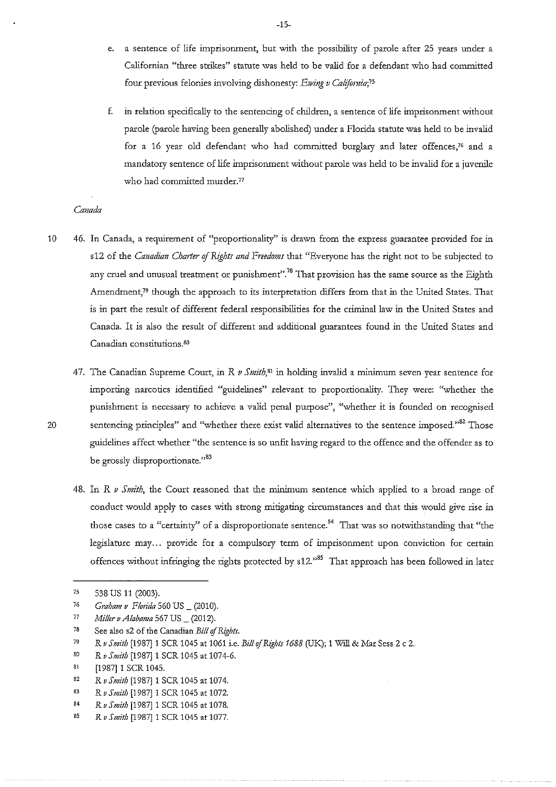- e. a sentence of life imprisonment, but with the possibility of parole after 25 years under a Californian "three strikes" statute was held to be valid for a defendant who had committed four previous felonies involving dishonesty: *E1ving v Califomia;75*
- **f. in relation specifically to the sentencing of children, a sentence of life imprisonment without**  parole (parole having been generally abolished) under a Florida statute was held to be invalid for a 16 year old defendant who had committed burglary and later offences, $76$  and a mandatory sentence of life imprisonment without parole was held to be invalid for a juvenile who had committed murder.<sup>77</sup>

#### *Canada*

- 10 46. In Canada, a requirement of "proportionality" is drawn from the express guarantee provided for in s12 of the *Canadian Charter of Rights and Freedoms* that "Everyone has the right not to be subjected to **any cruel and unusual treatment or punishment".78 That provision has the same source as the Eighth**  Amendment,<sup>79</sup> though the approach to its interpretation differs from that in the United States. That is in part the result of different federal responsibilities for the criminal law in the United States and Canada. It is also the result of different and additional guarantees found in the United States and **Canadian constitutions.** so
- 47. The Canadian Supreme Court, in R *v Smith*,<sup>81</sup> in holding invalid a minimum seven year sentence for **importing narcotics identified "guidelines" relevant to proportionality. They were: "whether the**  punishment is necessary to achieve a valid penal purpose", "whether it is founded on recognised 20 sentencing principles" and "whether there exist valid alternatives to the sentence imposed."<sup>82</sup> Those guidelines affect whether "the sentence is so unfit having regard to the offence and the offender as to be grossly disproportionate."<sup>83</sup>
	- 48. In R v Smith, the Court reasoned that the minimum sentence which applied to a broad range of conduct would apply to cases with strong mitigating circumstances and that this would give rise in those cases to a "certainty" of a disproportionate sentence.<sup>84</sup> That was so notwithstanding that "the legislature may ... provide for a compulsory term of imprisonment upon conviction for certain offences without infringing the rights protected by s12."<sup>85</sup> That approach has been followed in later

82 *R v Smith* [1987] 1 SCR 1045 at 1074. -15-

<sup>75</sup> 538 us 11 (2003).

<sup>76</sup>  *Graham v Florida* 560 US\_ (2010).

<sup>77</sup>  *Miller a Alabama* 567 US\_ (2012).

<sup>78</sup>  See also s2 of the Canadian *Bill of Rights.* 

<sup>79</sup>  *RvSmith* [1987]1 SCR 1045 at 1061 i.e. *BillofRights 1688* (UK); 1 Will&MarSess 2 c 2.

so *R v Smith* [1987]1 SCR 1045 at 1074-6.

<sup>81</sup>  [1987] 1 SCR 1045.

<sup>83</sup>  *RvSmith* [1987] 1 SCR 1045 at 1072.

<sup>84</sup>  *RvSmith* [1987] 1 SCR 1045 at 1078.

<sup>8;</sup>  *RvSmith* [1987] 1 SCR 1045 at 1077.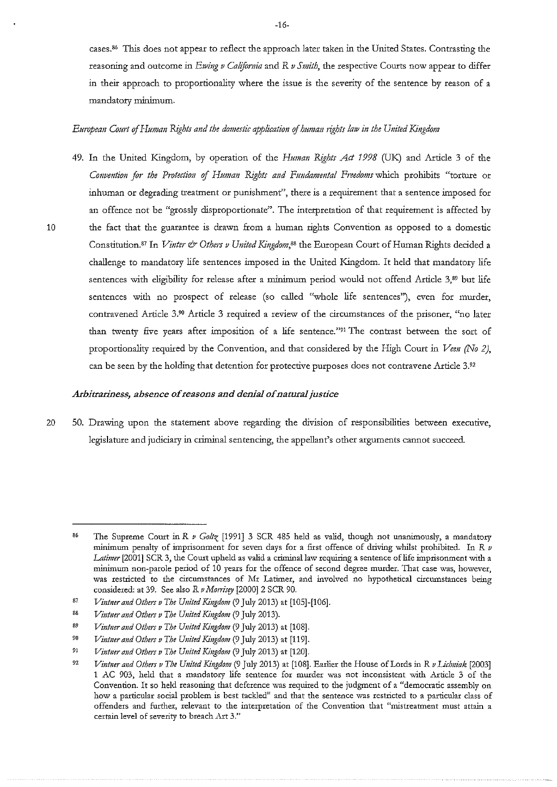cases.<sup>86</sup> This does not appear to reflect the approach later taken in the United States. Contrasting the reasoning and outcome in *Ewing v California* and R *v Smith*, the respective Courts now appear to differ **in their approach to proportionality where the issue is the severity of the sentence by reason of a mandatory minimum.** 

## *European Comt* of *Human Rights and the domestic application* of *human rights law in the United Kingdom*

49. In the United Kingdom, by operation of the *Human Rights Act 1998* (UK) and Article 3 of the *Convention for the Protection* of *Human Rights and Fundamental Freedoms* which prohibits "torture or inhuman or degrading treatment or punishment", there is a requirement that a sentence imposed for an offence not be "grossly disproportionate". The interpretation of that requirement is affected by 10 the fact that the guarantee is drawn from a human rights Convention as opposed to a domestic Constitution.<sup>87</sup> In *Vinter & Others v United Kingdom*,<sup>88</sup> the European Court of Human Rights decided a challenge to mandatory life sentences imposed in the United Kingdom. It held that mandatory life sentences with eligibility for release after a minimum period would not offend Article 3,<sup>89</sup> but life **sentences with no prospect of release (so called "whole life sentences"), even for murder, contravened Article 3.9° Article 3 required a review of the circumstances of the prisoner, "no later than twenty five years after imposition of a life sentence."91 The contrast between the sort of**  proportionality required by the Convention, and that considered by the High Court in *Veen* (No 2), can be seen by the holding that detention for protective purposes does not contravene Article 3.92

## *Arbitrariness, absence of reasons and denial of natural justice*

20 50. Drawing upon the statement above regarding the division of responsibilities between executive, legislature and judiciary in criminal sentencing, the appellant's other arguments cannot succeed.

<sup>86</sup>  The Supreme Court in R *v Goltz* [1991] 3 SCR 485 held as valid, though not unanimously, a mandatory **minimum penalty of imprisonment for seven days for a first offence of driving whilst prohibited. In R** *v Latimer* **[2001] SCR 3, the Court upheld as valid a crimlnallaw requiring a sentence of life imprisonment "vith a minimum non-parole period of 10 years for the offence of second degree murder. That case was, however,**  was restricted to the circumstances of Mr Latimer, and involved no hypothetical circumstances being considered: at 39. See also R *o Monisry* [2000] 2 SCR 90.

<sup>87</sup>  *Vintner and Others o The United Kingdom* (9 July 2013) at [105]-[106].

<sup>88</sup>  *Vintner and Others o The United Kingdom* (9 July 2013).

<sup>89</sup>  *Vintner and Others o The United Kingdom* (9 July 2013) at [108].

<sup>90</sup>  *Vintner and Others o The United Kingdom* (9 July 2013) at [119].

<sup>91</sup>  *Vintner and Others o The United Kingdom* (9 July 2013) at [120].

<sup>92</sup>  *Vintner and Others v The United Kingdom* (9 July 2013) at [108]. Earlier the House of Lords in R v Lichniak [2003] **1 .AC 903, held that a mandatory life sentence for murder was not inconsistent with Article 3 of the**  Convention. It so held reasoning that deference was required to the judgment of a "democratic assembly on **how a particular social problem is best tackled11 and that the sentence was restricted to a particular class of offenders and further, relevant to the interpretation of the Convention that "mistreatment must attain a**  certain level of severity to breach Art 3."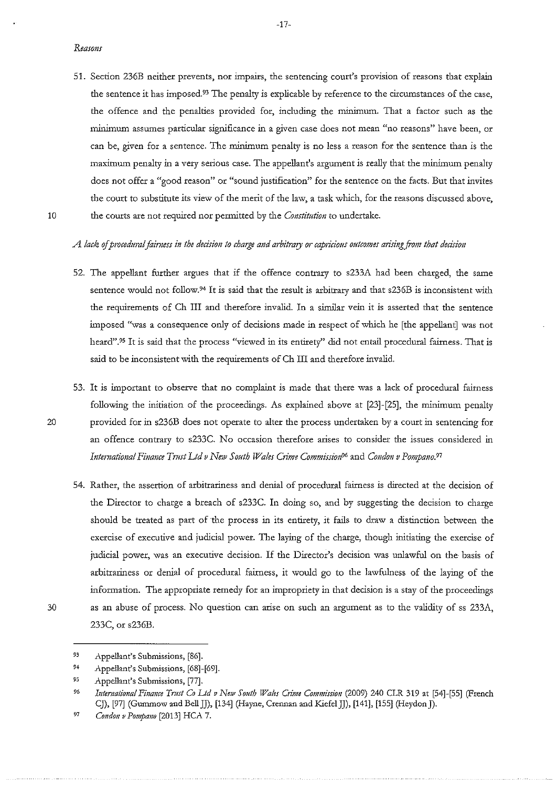- **51. Section 236B neither prevents, nor impairs, the sentencing court's provision of reasons that explain the sentence it has imposed.93 The penalty is explicable by reference to the circumstances of the case,**  the offence and the penalties provided for, including the minimum. That a factor such as the **minimum assumes particular significance in a given case does not mean "no reasons" have been, or can be, given for a sentence. The minimum penalty is no less a reason for the sentence than is the**  maximum penalty in a very serious case. The appellant's argument is really that the minimum penalty does not offer a "good reason" or "sound justification" for the sentence on the facts. But that invites **the court to substitute its view of the merit of the law, a task which, for the reasons discussed above,**  10 the courts are not required nor pennitted by the *Constitution* to undertake.
	- A lack of procedural fairness in the decision to charge and arbitrary or capricious outcomes arising from that decision
	- 52. The appellant further argues that if the offence contrary to s233A had been charged, the same sentence would not follow.<sup>94</sup> It is said that the result is arbitrary and that s236B is inconsistent with the requirements of Ch III and therefore invalid. In a similar vein it is asserted that the sentence imposed "was a consequence only of decisions made in respect of which he [the appellant] was not heard".95 It is said that the process "viewed in its entirety" did not entail procedural fairness. That is said to be inconsistent with the requirements of Ch III and therefore invalid.
- 53. It is important to observe that no complaint is made that there was a lack of procedural fairness following the initiation of the proceedings. As explained above at  $[23]-[25]$ , the minimum penalty 20 provided for in s236B does not operate to alter the process undertaken by a court in sentencing for an offence contrary to s233C. No occasion therefore arises to consider the issues considered in *Intemational Finance Trust Ltd v New Soutb TPa!es Crime Commissi01P6* **and** *Condon v Pompano.97*
- 54. Rather, the assertion of arbitrariness and denial of procedural fairness is directed at the decision of the Director to charge a breach of s233C. In doing so, and by suggesting the decision to charge should be treated as part of the process in its entirety, it fails to draw a distinction between the exercise of executive and judicial power. The laying of the charge, though initiating the exercise of **judicial power, was an executive decision. If the Director's decision was unlawful on the· basis of**  arbitrariness or denial of procedural fairness, it would go to the lawfulness of the laying of the information. The appropriate remedy for an impropriety in that decision is a stay of the proceedings 30 as an abuse of process. No question can arise on such an argument as to the validity of ss 233A, 233C, or s236B.
- 

<sup>93</sup>  Appellant's Submissions, [86].

*<sup>94</sup>*  Appellant's Submissions, [68]-[69].

 $95$ Appellant's Submissions, [77].

<sup>96</sup>  *Intemational Finance Tmst Co Ltd v Ne1v Sonth Wales Clime Commission* (2009) 240 CLR 319 at [54]-[55] (French CJ), [97] (Gummow and Bell JJ), [134] (Hayne, Crennan and Kiefel JJ), [141], [155] (Heydon J).

<sup>97</sup>  *Condon v Pompano* [2013] HCA 7.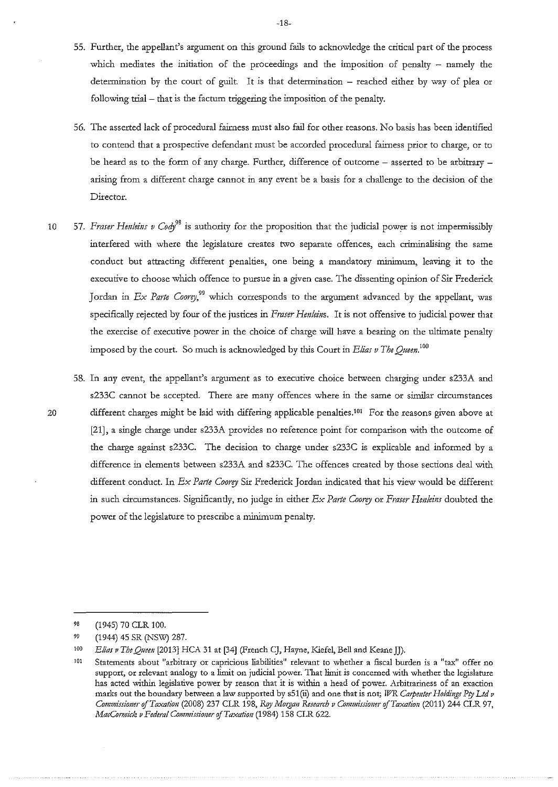- 55. Further, the appellant's argument on this ground fails to acknowledge the critical part of the process which mediates the initiation of the proceedings and the imposition of penalty  $-$  namely the determination by the court of guilt. It is that determination  $-$  reached either by way of plea or following trial - that is the factum triggering the imposition of the penalty.
- 56. The asserted lack of procedural fairness must also fail for other reasons. No basis has been identified to contend that a prospective defendant must be accorded procedural fairness prior to charge, or to be heard as to the form of any charge. Further, difference of outcome  $-$  asserted to be arbitrary  $$ arising from a different charge cannot in any event be a basis for a challenge to the decision of the **Director.**
- 10 57. *Fraser Henleins v Cody<sup>98</sup>* is authority for the proposition that the judicial power is not impermissibly interfered with where the legislature creates two separate offences, each criminalising the same conduct but attracting different penalties, one being a mandatory minimum, leaving it to the **executive to choose which offence to pursue in a given case. The dissenting opinion of Sir Frederick**  Jordan in *Ex Parte Coorey*,<sup>99</sup> which corresponds to the argument advanced by the appellant, was specifically rejected by four of the justices in *Fraser Henleins.* It is not offensive to judicial power tint **the exercise of executive power in the choice of charge will have a bearing on the ultimate penalty**  imposed by the court. So much is acknowledged by this Court in *Elias v The Queen*.<sup>100</sup>
- **58. In any event, the appellant's argument as to executive choice between charging under s233A and s233C cannot be accepted. There are many offences where in the same or similar circumstances**  20 different charges might be laid with differing applicable penalties.<sup>101</sup> For the reasons given above at [21], a single charge under s233A provides no reference point for comparison with the outcome of the charge against s233C. The decision to charge under s233C is explicable and informed by a difference in elements between s233A and s233C. The offences created by those sections deal with different conduct. In *Ex Parte Coorey* Sir Frederick Jordan indicated that his view would be different in such circumstances. Significantly, no judge in either *Ex Parte Coorey* or *Fraser Henleins* doubted the power of the legislature to prescribe a minimum penalty.

<sup>98</sup>  (1945) 70 CLR 100.

<sup>99</sup>  (1944) 45 SR (NSW) 287.

<sup>100</sup>  *Elias v The Qneen* [2013] HC.A 31 at [34] (French CJ, Hayne, Kiefel, Bell and Keane JJ).

<sup>101</sup>  **Statements about <sup>11</sup> arbitrary or capricious Iiabilities <sup>11</sup>relevant to whether a fiscal burden is a <sup>11</sup> tax <sup>11</sup>offer no support, or relevant analogy to a limit on judicial power. That limit is concerned with whether the legislature has acted \Y-ithin legislative power by reason that it is within a head of power . .Arbitrariness of an exaction marks out the boundary between a law supported by sSl(ii) and one that is not; TVR** *Cmpmter Holdings Pry Ltd v Commissioner of Taxation (2008) 237 CLR 198, Roy Morgan Research v Commissioner of Taxation (2011) 244 CLR 97, MacConnick v Federal Commissioner* of *Taxation* (1984) 158 CLR 622.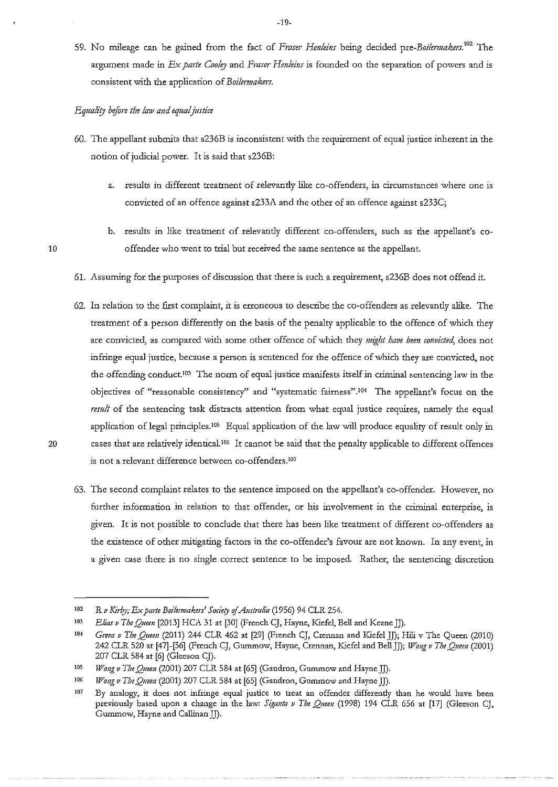59. No mileage can be gained from the fact of *Fraser Henleins* being decided pre-*Boilermakers*.<sup>102</sup> The argument made in *Ex parte Cooley* and *Fraser Henleins* is founded on the separation of powers and is consistent with the application of *Boilmnakers.* 

#### *Equali!J before the law and equal justice*

- 60. The appellant submits that s236B is inconsistent with the requirement of equal justice inherent in the notion of judicial power. It is said that s236B:
	- **a. results in different treatment of relevantly like co-offenders, in circumstances where one is**  convicted of an offence against s233A and the other of an offence against s233C;
	- b. results in like treatment of relevantly different co-offenders, such as the appellant's co**offender who went to trial but received the same sentence as the appellant.**
- 61. Assuming for the purposes of discussion that there is such a requirement, s236B does not offend it.
- 62. In relation to the first complaint, it is erroneous to describe the co-offenders as relevantly alike. The treatment of a person differently on the basis of the penalty applicable to the offence of which they are convicted, as compared with some other offence of which they *might have been convicted*, does not infringe equal justice, because a person is sentenced for the offence of which they are convicted, not the offending conduct. !03 The norm of equal justice manifests itself in criminal sentencing law in the **objectives of "reasonable consistency" and "systematic fairness" .1°4 The appellant's focus on the**  *result* **of the sentencing task distracts attention from what equal justice requires, namely the equal**  application of legal principles.<sup>105</sup> Equal application of the law will produce equality of result only in 20 cases that are relatively identical.<sup>106</sup> It cannot be said that the penalty applicable to different offences is not a relevant difference between co-offenders.<sup>107</sup>
	- **63. The second complaint relates to the sentence imposed on the appellant's co-offender. However, no**  further information in relation to that offender, or his involvement in the criminal enterprise, is given. It is not possible to conclude that there has been like treatment of different co-offenders as **the existence of other mitigating factors in the co-offender's favour are not known. In any event, in a given case there is no single correct sentence to be imposed. Rather, the sentencing discretion**

<sup>102</sup>  *R v Kirby; Ex parte Boilennakers' Society o[Austrah"a* (1956) 94 CLR 254.

<sup>103</sup>  *Elias v The Queen* [2013] HCA 31 at [30] (French CJ, Hayne, Kiefel, Bell and Keane JJ).

<sup>104</sup>  *Gm11 v The Queeu* (2011) 244 CLR 462 at [29] (French CJ, Crennan and Kiefel *]]);Hili* v The Queen (2010) 242 CLR 520 at [47]-[56] (French CJ, Gummow, Hayne, Crennan, Kiefel and Bell JJ); *Wong v The Queen* (2001) 207 CLR 584 at [6] (Gleeson CJ).

**<sup>105</sup>**  *Wong v The Queen (2001) 207 CLR 584 at [65] (Gaudron, Gummow and Hayne JJ).* 

<sup>106</sup>  *Wong v The Queen* (2001) 207 CLR 584 at [65] (Gaudron, Gummow and Hayne JJ).

<sup>107</sup>  **By analogy, it does not infringe equal justice to treat an offender differently than he would have been**  previously based upon a change in the law: *Siganto v The Quem* (1998) 194 CLR 656 at [17] (Gleeson CJ, Gummow, Hayne and Callinan JJ).